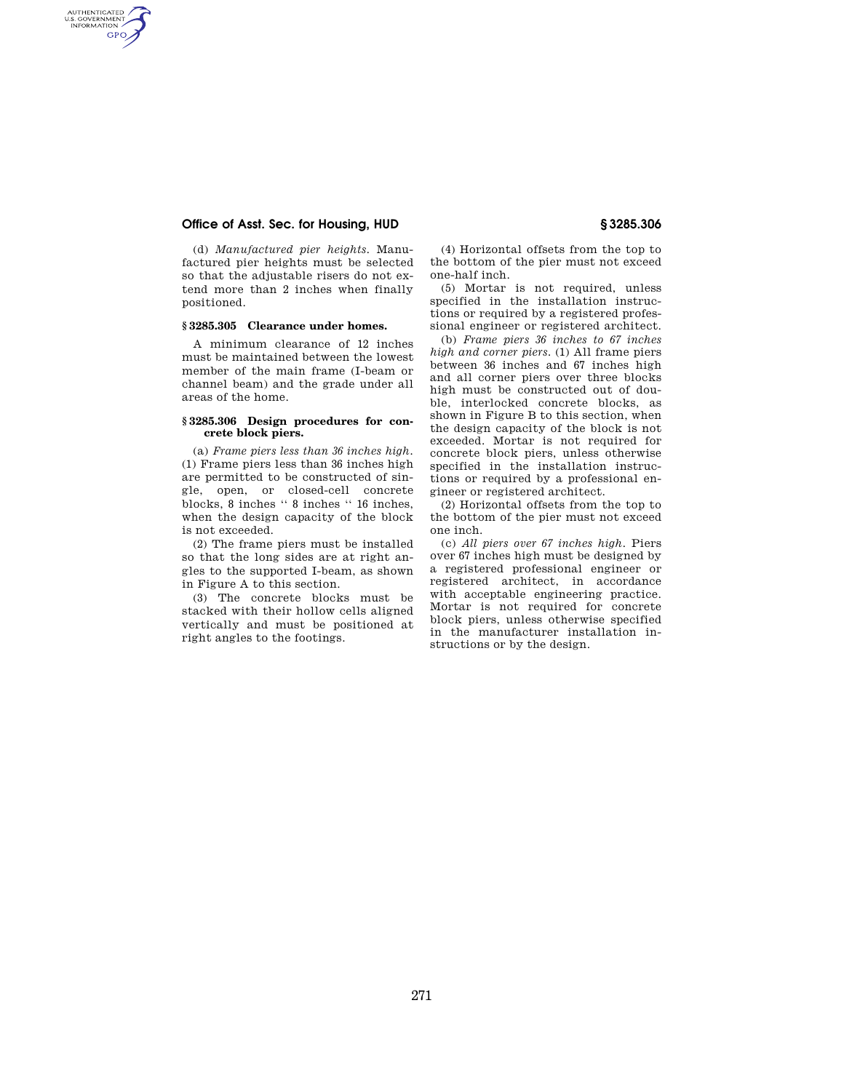## **Office of Asst. Sec. for Housing, HUD § 3285.306**

AUTHENTICATED<br>U.S. GOVERNMENT<br>INFORMATION GPO

> (d) *Manufactured pier heights.* Manufactured pier heights must be selected so that the adjustable risers do not extend more than 2 inches when finally positioned.

#### **§ 3285.305 Clearance under homes.**

A minimum clearance of 12 inches must be maintained between the lowest member of the main frame (I-beam or channel beam) and the grade under all areas of the home.

#### **§ 3285.306 Design procedures for concrete block piers.**

(a) *Frame piers less than 36 inches high.*  (1) Frame piers less than 36 inches high are permitted to be constructed of single, open, or closed-cell concrete blocks, 8 inches '' 8 inches '' 16 inches, when the design capacity of the block is not exceeded.

(2) The frame piers must be installed so that the long sides are at right angles to the supported I-beam, as shown in Figure A to this section.

(3) The concrete blocks must be stacked with their hollow cells aligned vertically and must be positioned at right angles to the footings.

(4) Horizontal offsets from the top to the bottom of the pier must not exceed one-half inch.

(5) Mortar is not required, unless specified in the installation instructions or required by a registered professional engineer or registered architect.

(b) *Frame piers 36 inches to 67 inches high and corner piers.* (1) All frame piers between 36 inches and 67 inches high and all corner piers over three blocks high must be constructed out of double, interlocked concrete blocks, as shown in Figure B to this section, when the design capacity of the block is not exceeded. Mortar is not required for concrete block piers, unless otherwise specified in the installation instructions or required by a professional engineer or registered architect.

(2) Horizontal offsets from the top to the bottom of the pier must not exceed one inch.

(c) *All piers over 67 inches high.* Piers over 67 inches high must be designed by a registered professional engineer or registered architect, in accordance with acceptable engineering practice. Mortar is not required for concrete block piers, unless otherwise specified in the manufacturer installation instructions or by the design.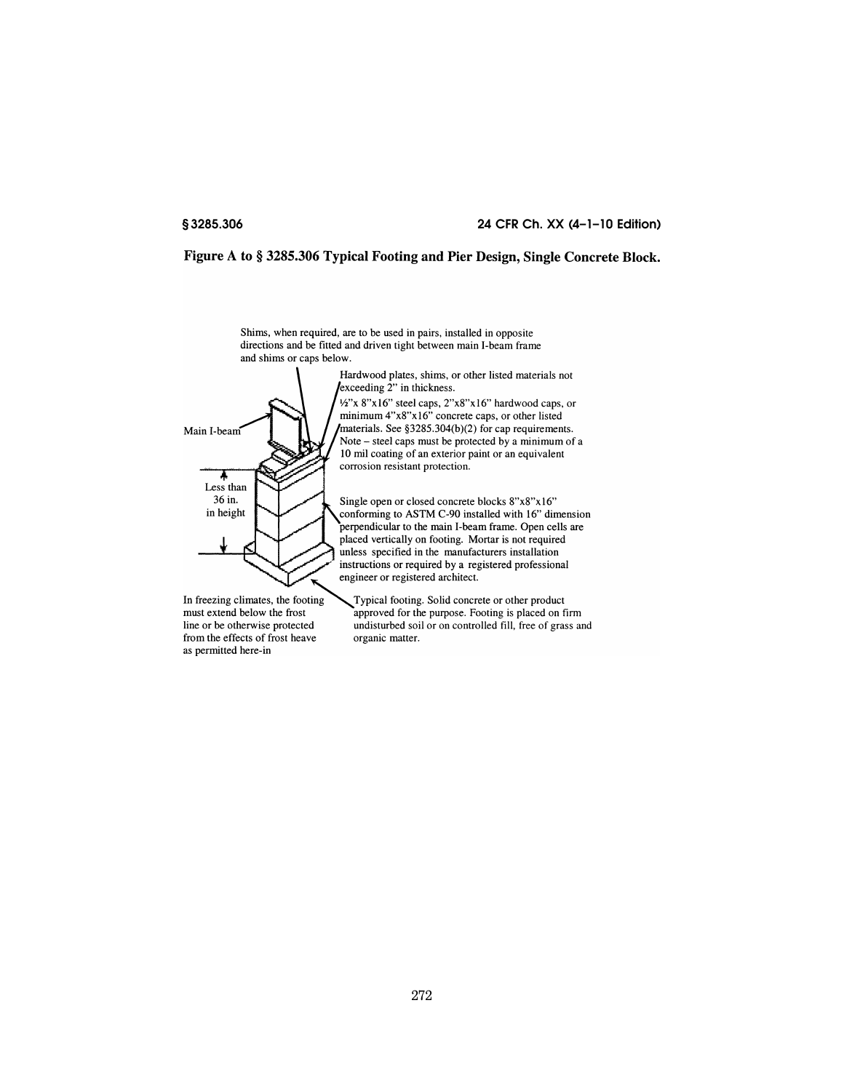Main I-beam

Less than 36 in.

in height

# **§ 3285.306 24 CFR Ch. XX (4–1–10 Edition)**

# Figure A to § 3285.306 Typical Footing and Pier Design, Single Concrete Block.

Shims, when required, are to be used in pairs, installed in opposite directions and be fitted and driven tight between main I-beam frame and shims or caps below.



 $\frac{1}{2}$  materials. See §3285.304(b)(2) for cap requirements. Note – steel caps must be protected by a minimum of a 10 mil coating of an exterior paint or an equivalent corrosion resistant protection.

Single open or closed concrete blocks 8"x8"x16" conforming to ASTM C-90 installed with 16" dimension perpendicular to the main I-beam frame. Open cells are placed vertically on footing. Mortar is not required unless specified in the manufacturers installation instructions or required by a registered professional engineer or registered architect.

In freezing climates, the footing must extend below the frost line or be otherwise protected from the effects of frost heave as permitted here-in

Typical footing. Solid concrete or other product approved for the purpose. Footing is placed on firm undisturbed soil or on controlled fill, free of grass and organic matter.